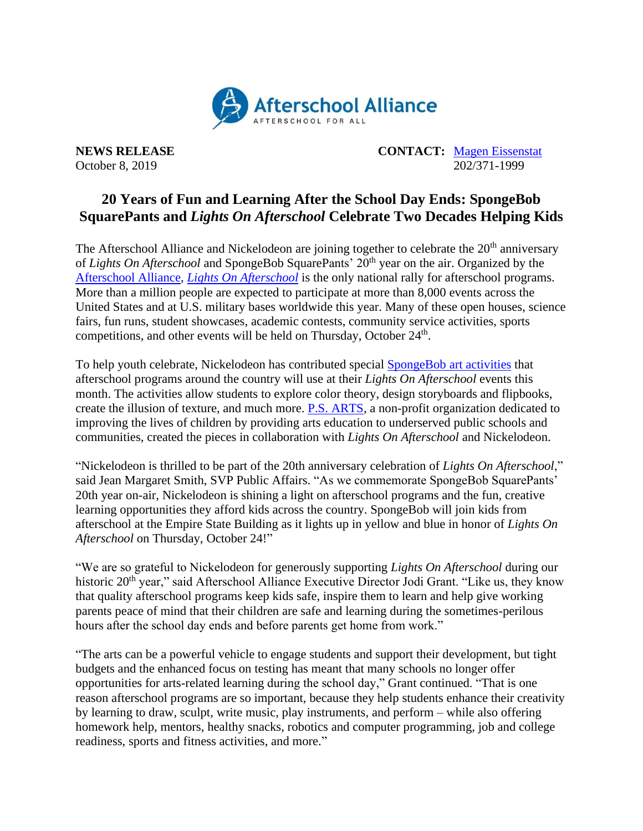

**NEWS RELEASE CONTACT:** [Magen Eissenstat](mailto:magen@prsolutionsdc.com) October 8, 2019 202/371-1999

## **20 Years of Fun and Learning After the School Day Ends: SpongeBob SquarePants and** *Lights On Afterschool* **Celebrate Two Decades Helping Kids**

The Afterschool Alliance and Nickelodeon are joining together to celebrate the  $20<sup>th</sup>$  anniversary of *Lights On Afterschool* and SpongeBob SquarePants' 20<sup>th</sup> year on the air. Organized by the [Afterschool Alliance,](http://www.afterschoolalliance.org/) *[Lights On Afterschool](http://www.afterschoolalliance.org/loa.cfm)* is the only national rally for afterschool programs. More than a million people are expected to participate at more than 8,000 events across the United States and at U.S. military bases worldwide this year. Many of these open houses, science fairs, fun runs, student showcases, academic contests, community service activities, sports competitions, and other events will be held on Thursday, October 24<sup>th</sup>.

To help youth celebrate, Nickelodeon has contributed special [SpongeBob art activities](http://afterschoolalliance.org/loaSpongebob.cfm) that afterschool programs around the country will use at their *Lights On Afterschool* events this month. The activities allow students to explore color theory, design storyboards and flipbooks, create the illusion of texture, and much more. [P.S. ARTS,](https://www.psarts.org/) a non-profit organization dedicated to improving the lives of children by providing arts education to underserved public schools and communities, created the pieces in collaboration with *Lights On Afterschool* and Nickelodeon.

"Nickelodeon is thrilled to be part of the 20th anniversary celebration of *Lights On Afterschool*," said Jean Margaret Smith, SVP Public Affairs. "As we commemorate SpongeBob SquarePants' 20th year on-air, Nickelodeon is shining a light on afterschool programs and the fun, creative learning opportunities they afford kids across the country. SpongeBob will join kids from afterschool at the Empire State Building as it lights up in yellow and blue in honor of *Lights On Afterschool* on Thursday, October 24!"

"We are so grateful to Nickelodeon for generously supporting *Lights On Afterschool* during our historic 20<sup>th</sup> year," said Afterschool Alliance Executive Director Jodi Grant. "Like us, they know that quality afterschool programs keep kids safe, inspire them to learn and help give working parents peace of mind that their children are safe and learning during the sometimes-perilous hours after the school day ends and before parents get home from work."

"The arts can be a powerful vehicle to engage students and support their development, but tight budgets and the enhanced focus on testing has meant that many schools no longer offer opportunities for arts-related learning during the school day," Grant continued. "That is one reason afterschool programs are so important, because they help students enhance their creativity by learning to draw, sculpt, write music, play instruments, and perform – while also offering homework help, mentors, healthy snacks, robotics and computer programming, job and college readiness, sports and fitness activities, and more."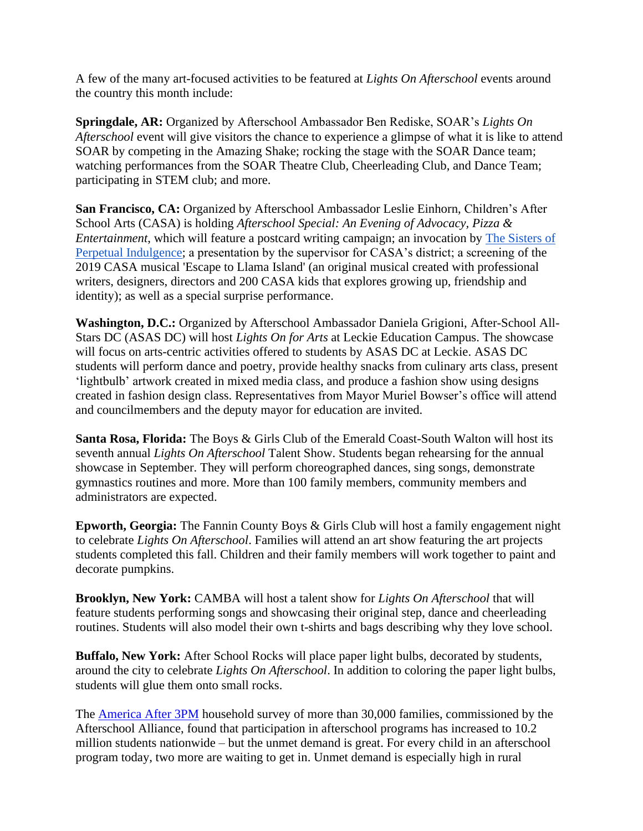A few of the many art-focused activities to be featured at *Lights On Afterschool* events around the country this month include:

**Springdale, AR:** Organized by Afterschool Ambassador Ben Rediske, SOAR's *Lights On Afterschool* event will give visitors the chance to experience a glimpse of what it is like to attend SOAR by competing in the Amazing Shake; rocking the stage with the SOAR Dance team; watching performances from the SOAR Theatre Club, Cheerleading Club, and Dance Team; participating in STEM club; and more.

**San Francisco, CA:** Organized by Afterschool Ambassador Leslie Einhorn, Children's After School Arts (CASA) is holding *Afterschool Special: An Evening of Advocacy, Pizza & Entertainment*, which will feature a postcard writing campaign; an invocation by [The Sisters of](https://www.thesisters.org/)  [Perpetual Indulgence;](https://www.thesisters.org/) a presentation by the supervisor for CASA's district; a screening of the 2019 CASA musical 'Escape to Llama Island' (an original musical created with professional writers, designers, directors and 200 CASA kids that explores growing up, friendship and identity); as well as a special surprise performance.

**Washington, D.C.:** Organized by Afterschool Ambassador Daniela Grigioni, After-School All-Stars DC (ASAS DC) will host *Lights On for Arts* at Leckie Education Campus. The showcase will focus on arts-centric activities offered to students by ASAS DC at Leckie. ASAS DC students will perform dance and poetry, provide healthy snacks from culinary arts class, present 'lightbulb' artwork created in mixed media class, and produce a fashion show using designs created in fashion design class. Representatives from Mayor Muriel Bowser's office will attend and councilmembers and the deputy mayor for education are invited.

**Santa Rosa, Florida:** The Boys & Girls Club of the Emerald Coast-South Walton will host its seventh annual *Lights On Afterschool* Talent Show. Students began rehearsing for the annual showcase in September. They will perform choreographed dances, sing songs, demonstrate gymnastics routines and more. More than 100 family members, community members and administrators are expected.

**Epworth, Georgia:** The Fannin County Boys & Girls Club will host a family engagement night to celebrate *Lights On Afterschool*. Families will attend an art show featuring the art projects students completed this fall. Children and their family members will work together to paint and decorate pumpkins.

**Brooklyn, New York:** CAMBA will host a talent show for *Lights On Afterschool* that will feature students performing songs and showcasing their original step, dance and cheerleading routines. Students will also model their own t-shirts and bags describing why they love school.

**Buffalo, New York:** After School Rocks will place paper light bulbs, decorated by students, around the city to celebrate *Lights On Afterschool*. In addition to coloring the paper light bulbs, students will glue them onto small rocks.

The **America After 3PM** household survey of more than 30,000 families, commissioned by the Afterschool Alliance, found that participation in afterschool programs has increased to 10.2 million students nationwide – but the unmet demand is great. For every child in an afterschool program today, two more are waiting to get in. Unmet demand is especially high in rural